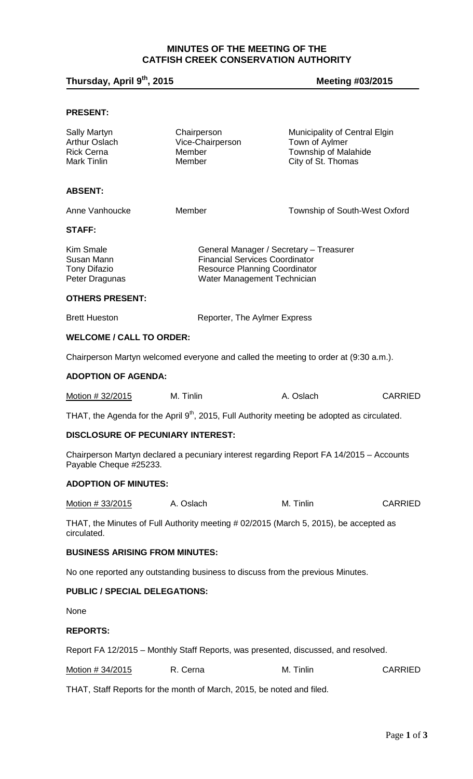# **MINUTES OF THE MEETING OF THE CATFISH CREEK CONSERVATION AUTHORITY**

# **Thursday, April 9th, 2015 Meeting #03/2015**

## **PRESENT:**

| Sally Martyn<br>Arthur Oslach<br><b>Rick Cerna</b><br>Mark Tinlin | Chairperson<br>Vice-Chairperson<br><b>Member</b><br>Member                                                                                              | Municipality of Central Elgin<br>Town of Aylmer<br>Township of Malahide<br>City of St. Thomas |                |
|-------------------------------------------------------------------|---------------------------------------------------------------------------------------------------------------------------------------------------------|-----------------------------------------------------------------------------------------------|----------------|
| <b>ABSENT:</b>                                                    |                                                                                                                                                         |                                                                                               |                |
| Anne Vanhoucke                                                    | Member                                                                                                                                                  | Township of South-West Oxford                                                                 |                |
| <b>STAFF:</b>                                                     |                                                                                                                                                         |                                                                                               |                |
| Kim Smale<br>Susan Mann<br><b>Tony Difazio</b><br>Peter Dragunas  | General Manager / Secretary - Treasurer<br><b>Financial Services Coordinator</b><br><b>Resource Planning Coordinator</b><br>Water Management Technician |                                                                                               |                |
| <b>OTHERS PRESENT:</b>                                            |                                                                                                                                                         |                                                                                               |                |
| <b>Brett Hueston</b>                                              | Reporter, The Aylmer Express                                                                                                                            |                                                                                               |                |
| <b>WELCOME / CALL TO ORDER:</b>                                   |                                                                                                                                                         |                                                                                               |                |
|                                                                   | Chairperson Martyn welcomed everyone and called the meeting to order at (9:30 a.m.).                                                                    |                                                                                               |                |
| <b>ADOPTION OF AGENDA:</b>                                        |                                                                                                                                                         |                                                                                               |                |
| Motion # 32/2015                                                  | M. Tinlin                                                                                                                                               | A. Oslach                                                                                     | <b>CARRIED</b> |
|                                                                   | THAT, the Agenda for the April $9th$ , 2015, Full Authority meeting be adopted as circulated.                                                           |                                                                                               |                |
| DISCLOSURE OF PECUNIARY INTEREST:                                 |                                                                                                                                                         |                                                                                               |                |
| Payable Cheque #25233.                                            | Chairperson Martyn declared a pecuniary interest regarding Report FA 14/2015 - Accounts                                                                 |                                                                                               |                |
| <b>ADOPTION OF MINUTES:</b>                                       |                                                                                                                                                         |                                                                                               |                |
| Motion # 33/2015                                                  | A. Oslach                                                                                                                                               | M. Tinlin                                                                                     | <b>CARRIED</b> |
| circulated.                                                       | THAT, the Minutes of Full Authority meeting # 02/2015 (March 5, 2015), be accepted as                                                                   |                                                                                               |                |
| <b>BUSINESS ARISING FROM MINUTES:</b>                             |                                                                                                                                                         |                                                                                               |                |
|                                                                   | No one reported any outstanding business to discuss from the previous Minutes.                                                                          |                                                                                               |                |
| <b>PUBLIC / SPECIAL DELEGATIONS:</b>                              |                                                                                                                                                         |                                                                                               |                |
| None                                                              |                                                                                                                                                         |                                                                                               |                |
| <b>REPORTS:</b>                                                   |                                                                                                                                                         |                                                                                               |                |
|                                                                   | Report FA 12/2015 – Monthly Staff Reports, was presented, discussed, and resolved.                                                                      |                                                                                               |                |
| Motion # 34/2015                                                  | R. Cerna                                                                                                                                                | M. Tinlin                                                                                     | <b>CARRIED</b> |
|                                                                   | THAT, Staff Reports for the month of March, 2015, be noted and filed.                                                                                   |                                                                                               |                |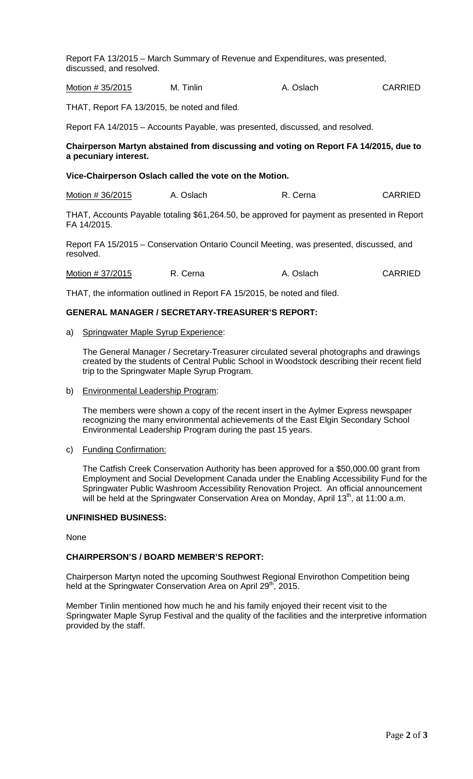Report FA 13/2015 – March Summary of Revenue and Expenditures, was presented, discussed, and resolved.

Motion # 35/2015 M. Tinlin A. Oslach CARRIED

THAT, Report FA 13/2015, be noted and filed.

Report FA 14/2015 – Accounts Payable, was presented, discussed, and resolved.

#### **Chairperson Martyn abstained from discussing and voting on Report FA 14/2015, due to a pecuniary interest.**

#### **Vice-Chairperson Oslach called the vote on the Motion.**

| Motion # 36/2015 | A. Oslach | R. Cerna | <b>CARRIED</b> |
|------------------|-----------|----------|----------------|
|------------------|-----------|----------|----------------|

THAT, Accounts Payable totaling \$61,264.50, be approved for payment as presented in Report FA 14/2015.

Report FA 15/2015 – Conservation Ontario Council Meeting, was presented, discussed, and resolved.

Motion # 37/2015 R. Cerna A. Oslach CARRIED

THAT, the information outlined in Report FA 15/2015, be noted and filed.

#### **GENERAL MANAGER / SECRETARY-TREASURER'S REPORT:**

a) Springwater Maple Syrup Experience:

The General Manager / Secretary-Treasurer circulated several photographs and drawings created by the students of Central Public School in Woodstock describing their recent field trip to the Springwater Maple Syrup Program.

b) Environmental Leadership Program:

The members were shown a copy of the recent insert in the Aylmer Express newspaper recognizing the many environmental achievements of the East Elgin Secondary School Environmental Leadership Program during the past 15 years.

c) Funding Confirmation:

The Catfish Creek Conservation Authority has been approved for a \$50,000.00 grant from Employment and Social Development Canada under the Enabling Accessibility Fund for the Springwater Public Washroom Accessibility Renovation Project. An official announcement will be held at the Springwater Conservation Area on Monday, April 13<sup>th</sup>, at 11:00 a.m.

#### **UNFINISHED BUSINESS:**

None

#### **CHAIRPERSON'S / BOARD MEMBER'S REPORT:**

Chairperson Martyn noted the upcoming Southwest Regional Envirothon Competition being held at the Springwater Conservation Area on April 29<sup>th</sup>, 2015.

Member Tinlin mentioned how much he and his family enjoyed their recent visit to the Springwater Maple Syrup Festival and the quality of the facilities and the interpretive information provided by the staff.